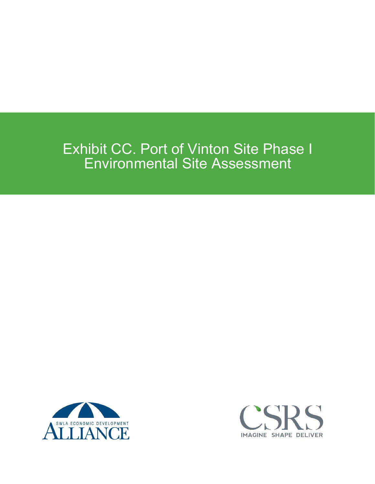# Exhibit CC. Port of Vinton Site Phase I Environmental Site Assessment



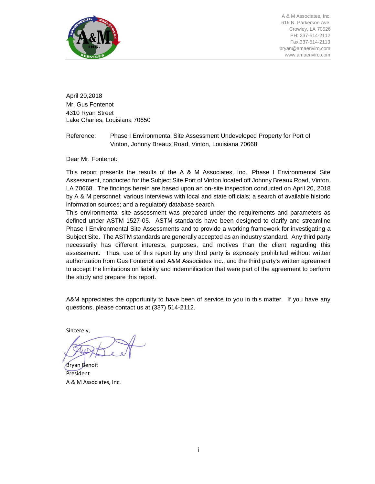

A & M Associates, Inc. 616 N. Parkerson Ave. Crowley, LA 70526 PH: 337-514-2112 Fax:337-514-2113 bryan@amaenviro.com www.amaenviro.com

April 20,2018 Mr. Gus Fontenot 4310 Ryan Street Lake Charles, Louisiana 70650

## Port of Vinton Site Phase I Environmental Site Assessment

Reference: Phase I Environmental Site Assessment Undeveloped Property for Port of Vinton, Johnny Breaux Road, Vinton, Louisiana 70668

Dear Mr. Fontenot:

This report presents the results of the A & M Associates, Inc., Phase I Environmental Site Assessment, conducted for the Subject Site Port of Vinton located off Johnny Breaux Road, Vinton, LA 70668. The findings herein are based upon an on-site inspection conducted on April 20, 2018 by A & M personnel; various interviews with local and state officials; a search of available historic information sources; and a regulatory database search.

This environmental site assessment was prepared under the requirements and parameters as defined under ASTM 1527-05. ASTM standards have been designed to clarify and streamline Phase I Environmental Site Assessments and to provide a working framework for investigating a Subject Site. The ASTM standards are generally accepted as an industry standard. Any third party necessarily has different interests, purposes, and motives than the client regarding this assessment. Thus, use of this report by any third party is expressly prohibited without written authorization from Gus Fontenot and A&M Associates Inc., and the third party's written agreement to accept the limitations on liability and indemnification that were part of the agreement to perform the study and prepare this report.

A&M appreciates the opportunity to have been of service to you in this matter. If you have any questions, please contact us at (337) 514-2112.

Sincerely,

Bryan Benoit President A & M Associates, Inc.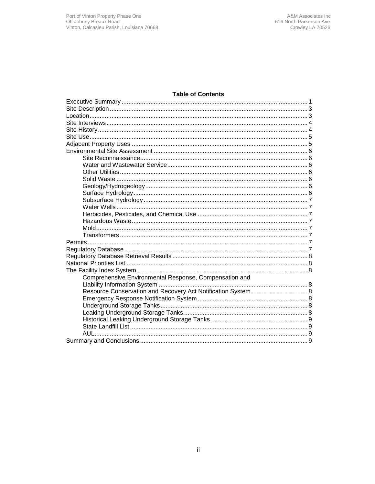## **Table of Contents**

| Comprehensive Environmental Response, Compensation and        |  |
|---------------------------------------------------------------|--|
|                                                               |  |
| Resource Conservation and Recovery Act Notification System  8 |  |
|                                                               |  |
|                                                               |  |
|                                                               |  |
|                                                               |  |
|                                                               |  |
|                                                               |  |
|                                                               |  |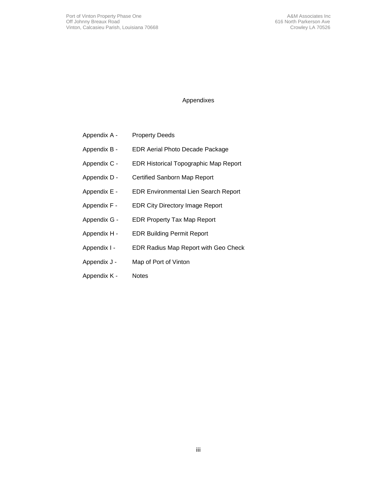## Appendixes

- Appendix A Property Deeds
- Appendix B EDR Aerial Photo Decade Package
- Appendix C EDR Historical Topographic Map Report
- Appendix D Certified Sanborn Map Report
- Appendix E EDR Environmental Lien Search Report
- Appendix F EDR City Directory Image Report
- Appendix G EDR Property Tax Map Report
- Appendix H EDR Building Permit Report
- Appendix I EDR Radius Map Report with Geo Check
- Appendix J Map of Port of Vinton
- Appendix K Notes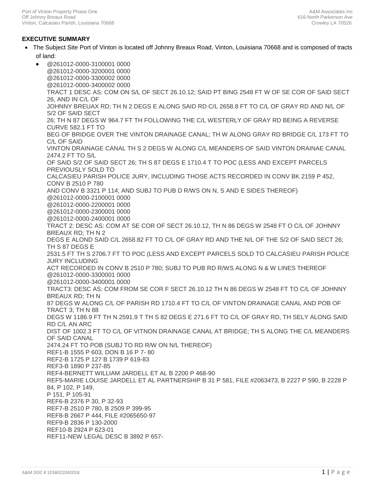## **EXECUTIVE SUMMARY**

- The Subject Site Port of Vinton is located off Johnny Breaux Road, Vinton, Louisiana 70668 and is composed of tracts of land:
	- @261012-0000-3100001 0000 @261012-0000-3200001 0000 @261012-0000-3300002 0000 @261012-0000-3400002 0000 TRACT 1 DESC AS: COM ON S/L OF SECT 26.10.12; SAID PT BING 2548 FT W OF SE COR OF SAID SECT 26, AND IN C/L OF JOHNNY BREUAX RD; TH N 2 DEGS E ALONG SAID RD C/L 2658.8 FT TO C/L OF GRAY RD AND N/L OF S/2 OF SAID SECT 26; TH N 87 DEGS W 964.7 FT TH FOLLOWING THE C/L WESTERLY OF GRAY RD BEING A REVERSE CURVE 582.1 FT TO BEG OF BRIDGE OVER THE VINTON DRAINAGE CANAL; TH W ALONG GRAY RD BRIDGE C/L 173 FT TO C/L OF SAID VINTON DRAINAGE CANAL TH S 2 DEGS W ALONG C/L MEANDERS OF SAID VINTON DRAINAE CANAL 2474.2 FT TO S/L OF SAID S/2 OF SAID SECT 26; TH S 87 DEGS E 1710.4 T TO POC (LESS AND EXCEPT PARCELS PREVIOUSLY SOLD TO CALCASIEU PARISH POLICE JURY, INCLUDING THOSE ACTS RECORDED IN CONV BK 2159 P 452, CONV B 2510 P 780 AND CONV B 3321 P 114; AND SUBJ TO PUB D R/WS ON N, S AND E SIDES THEREOF) @261012-0000-2100001 0000 @261012-0000-2200001 0000 @261012-0000-2300001 0000 @261012-0000-2400001 0000 TRACT 2: DESC AS: COM AT SE COR OF SECT 26.10.12, TH N 86 DEGS W 2548 FT O C/L OF JOHNNY BREAUX RD; TH N 2 DEGS E ALOND SAID C/L 2658.82 FT TO C/L OF GRAY RD AND THE N/L OF THE S/2 OF SAID SECT 26; TH S 87 DEGS E 2531.5 FT TH S 2706.7 FT TO POC (LESS AND EXCEPT PARCELS SOLD TO CALCASIEU PARISH POLICE JURY INCLUDING ACT RECORDED IN CONV B 2510 P 780; SUBJ TO PUB RD R/WS ALONG N & W LINES THEREOF @261012-0000-3300001 0000 @261012-0000-3400001 0000 TRACT3: DESC AS: COM FROM SE COR F SECT 26.10.12 TH N 86 DEGS W 2548 FT TO C/L OF JOHNNY BREAUX RD; TH N 87 DEGS W ALONG C/L OF PARISH RD 1710.4 FT TO C/L OF VINTON DRAINAGE CANAL AND POB OF TRACT 3; TH N 88 DEGS W 1186.9 FT TH N 2591.9 T TH S 82 DEGS E 271.6 FT TO C/L OF GRAY RD, TH SELY ALONG SAID RD C/L AN ARC DIST OF 1002.3 FT TO C/L OF VITNON DRAINAGE CANAL AT BRIDGE; TH S ALONG THE C/L MEANDERS OF SAID CANAL 2474.24 FT TO POB (SUBJ TO RD R/W ON N/L THEREOF) REF1-B 1555 P 603, DON B 16 P 7- 80 REF2-B 1725 P 127 B 1739 P 619-83 REF3-B 1890 P 237-85 REF4-BERNETT WILLIAM JARDELL ET AL B 2200 P 468-90 REF5-MARIE LOUISE JARDELL ET AL PARTNERSHIP B 31 P 581, FILE #2063473, B 2227 P 590, B 2228 P 84, P 102, P 149, P 151, P 105-91 REF6-B 2376 P 30, P 32-93 REF7-B 2510 P 780, B 2509 P 399-95 REF8-B 2667 P 444, FILE #2065650-97 REF9-B 2836 P 130-2000 REF10-B 2924 P 623-01 REF11-NEW LEGAL DESC B 3892 P 657-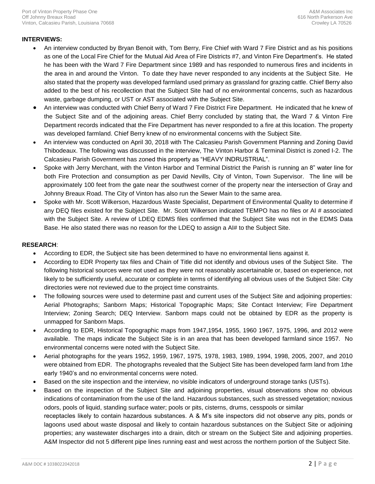## **INTERVIEWS:**

- An interview conducted by Bryan Benoit with, Tom Berry, Fire Chief with Ward 7 Fire District and as his positions as one of the Local Fire Chief for the Mutual Aid Area of Fire Districts #7, and Vinton Fire Department's. He stated he has been with the Ward 7 Fire Department since 1989 and has responded to numerous fires and incidents in the area in and around the Vinton. To date they have never responded to any incidents at the Subject Site. He also stated that the property was developed farmland used primary as grassland for grazing cattle. Chief Berry also added to the best of his recollection that the Subject Site had of no environmental concerns, such as hazardous waste, garbage dumping, or UST or AST associated with the Subject Site.
- An interview was conducted with Chief Berry of Ward 7 Fire District Fire Department. He indicated that he knew of the Subject Site and of the adjoining areas. Chief Berry concluded by stating that, the Ward 7 & Vinton Fire Department records indicated that the Fire Department has never responded to a fire at this location. The property was developed farmland. Chief Berry knew of no environmental concerns with the Subject Site.
- An interview was conducted on April 30, 2018 with The Calcasieu Parish Government Planning and Zoning David Thibodeaux. The following was discussed in the interview, The Vinton Harbor & Terminal District is zoned I-2. The Calcasieu Parish Government has zoned this property as "HEAVY INDRUSTRIAL".
- Spoke with Jerry Merchant, with the Vinton Harbor and Terminal District the Parish is running an 8" water line for both Fire Protection and consumption as per David Nevills, City of Vinton, Town Supervisor. The line will be approximately 100 feet from the gate near the southwest corner of the property near the intersection of Gray and Johnny Breaux Road. The City of Vinton has also run the Sewer Main to the same area.
- Spoke with Mr. Scott Wilkerson, Hazardous Waste Specialist, Department of Environmental Quality to determine if any DEQ files existed for the Subject Site. Mr. Scott Wilkerson indicated TEMPO has no files or AI # associated with the Subject Site. A review of LDEQ EDMS files confirmed that the Subject Site was not in the EDMS Data Base. He also stated there was no reason for the LDEQ to assign a AI# to the Subject Site.

## **RESEARCH**:

- According to EDR, the Subject site has been determined to have no environmental liens against it.
- According to EDR Property tax files and Chain of Title did not identify and obvious uses of the Subject Site. The following historical sources were not used as they were not reasonably ascertainable or, based on experience, not likely to be sufficiently useful, accurate or complete in terms of identifying all obvious uses of the Subject Site: City directories were not reviewed due to the project time constraints.
- The following sources were used to determine past and current uses of the Subject Site and adjoining properties: Aerial Photographs; Sanborn Maps; Historical Topographic Maps; Site Contact Interview; Fire Department Interview; Zoning Search; DEQ Interview. Sanborn maps could not be obtained by EDR as the property is unmapped for Sanborn Maps.
- According to EDR, Historical Topographic maps from 1947,1954, 1955, 1960 1967, 1975, 1996, and 2012 were available. The maps indicate the Subject Site is in an area that has been developed farmland since 1957. No environmental concerns were noted with the Subject Site.
- Aerial photographs for the years 1952, 1959, 1967, 1975, 1978, 1983, 1989, 1994, 1998, 2005, 2007, and 2010 were obtained from EDR. The photographs revealed that the Subject Site has been developed farm land from 1the early 1940's and no environmental concerns were noted.
- Based on the site inspection and the interview, no visible indicators of underground storage tanks (USTs).
- Based on the inspection of the Subject Site and adjoining properties, visual observations show no obvious indications of contamination from the use of the land. Hazardous substances, such as stressed vegetation; noxious odors, pools of liquid, standing surface water; pools or pits, cisterns, drums, cesspools or similar receptacles likely to contain hazardous substances. A & M's site inspectors did not observe any pits, ponds or lagoons used about waste disposal and likely to contain hazardous substances on the Subject Site or adjoining properties; any wastewater discharges into a drain, ditch or stream on the Subject Site and adjoining properties. A&M Inspector did not 5 different pipe lines running east and west across the northern portion of the Subject Site.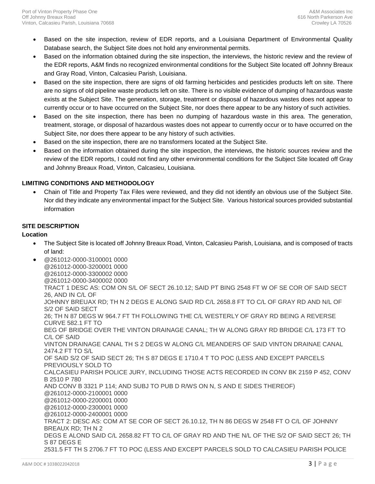- Based on the site inspection, review of EDR reports, and a Louisiana Department of Environmental Quality Database search, the Subject Site does not hold any environmental permits.
- Based on the information obtained during the site inspection, the interviews, the historic review and the review of the EDR reports, A&M finds no recognized environmental conditions for the Subject Site located off Johnny Breaux and Gray Road, Vinton, Calcasieu Parish, Louisiana.
- Based on the site inspection, there are signs of old farming herbicides and pesticides products left on site. There are no signs of old pipeline waste products left on site. There is no visible evidence of dumping of hazardous waste exists at the Subject Site. The generation, storage, treatment or disposal of hazardous wastes does not appear to currently occur or to have occurred on the Subject Site, nor does there appear to be any history of such activities.
- Based on the site inspection, there has been no dumping of hazardous waste in this area. The generation, treatment, storage, or disposal of hazardous wastes does not appear to currently occur or to have occurred on the Subject Site, nor does there appear to be any history of such activities.
- Based on the site inspection, there are no transformers located at the Subject Site.
- Based on the information obtained during the site inspection, the interviews, the historic sources review and the review of the EDR reports, I could not find any other environmental conditions for the Subject Site located off Gray and Johnny Breaux Road, Vinton, Calcasieu, Louisiana.

## **LIMITING CONDITIONS AND METHODOLOGY**

• Chain of Title and Property Tax Files were reviewed, and they did not identify an obvious use of the Subject Site. Nor did they indicate any environmental impact for the Subject Site. Various historical sources provided substantial information

## **SITE DESCRIPTION**

## **Location**

- The Subject Site is located off Johnny Breaux Road, Vinton, Calcasieu Parish, Louisiana, and is composed of tracts of land:
- @261012-0000-3100001 0000 @261012-0000-3200001 0000 @261012-0000-3300002 0000 @261012-0000-3400002 0000 TRACT 1 DESC AS: COM ON S/L OF SECT 26.10.12; SAID PT BING 2548 FT W OF SE COR OF SAID SECT 26, AND IN C/L OF JOHNNY BREUAX RD; TH N 2 DEGS E ALONG SAID RD C/L 2658.8 FT TO C/L OF GRAY RD AND N/L OF S/2 OF SAID SECT 26; TH N 87 DEGS W 964.7 FT TH FOLLOWING THE C/L WESTERLY OF GRAY RD BEING A REVERSE CURVE 582.1 FT TO BEG OF BRIDGE OVER THE VINTON DRAINAGE CANAL; TH W ALONG GRAY RD BRIDGE C/L 173 FT TO C/L OF SAID VINTON DRAINAGE CANAL TH S 2 DEGS W ALONG C/L MEANDERS OF SAID VINTON DRAINAE CANAL 2474.2 FT TO S/L OF SAID S/2 OF SAID SECT 26; TH S 87 DEGS E 1710.4 T TO POC (LESS AND EXCEPT PARCELS PREVIOUSLY SOLD TO CALCASIEU PARISH POLICE JURY, INCLUDING THOSE ACTS RECORDED IN CONV BK 2159 P 452, CONV B 2510 P 780 AND CONV B 3321 P 114; AND SUBJ TO PUB D R/WS ON N, S AND E SIDES THEREOF) @261012-0000-2100001 0000 @261012-0000-2200001 0000 @261012-0000-2300001 0000 @261012-0000-2400001 0000 TRACT 2: DESC AS: COM AT SE COR OF SECT 26.10.12, TH N 86 DEGS W 2548 FT O C/L OF JOHNNY BREAUX RD; TH N 2 DEGS E ALOND SAID C/L 2658.82 FT TO C/L OF GRAY RD AND THE N/L OF THE S/2 OF SAID SECT 26; TH S 87 DEGS E 2531.5 FT TH S 2706.7 FT TO POC (LESS AND EXCEPT PARCELS SOLD TO CALCASIEU PARISH POLICE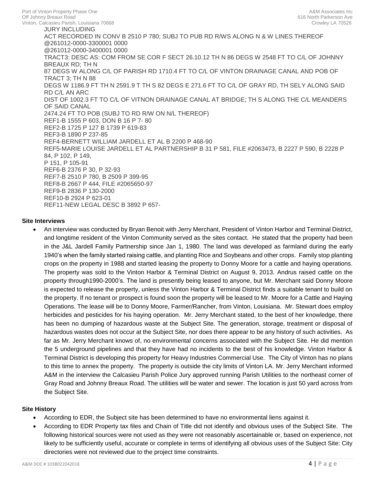JURY INCLUDING ACT RECORDED IN CONV B 2510 P 780; SUBJ TO PUB RD R/WS ALONG N & W LINES THEREOF @261012-0000-3300001 0000 @261012-0000-3400001 0000 TRACT3: DESC AS: COM FROM SE COR F SECT 26.10.12 TH N 86 DEGS W 2548 FT TO C/L OF JOHNNY BREAUX RD; TH N 87 DEGS W ALONG C/L OF PARISH RD 1710.4 FT TO C/L OF VINTON DRAINAGE CANAL AND POB OF TRACT 3; TH N 88 DEGS W 1186.9 FT TH N 2591.9 T TH S 82 DEGS E 271.6 FT TO C/L OF GRAY RD, TH SELY ALONG SAID RD C/L AN ARC DIST OF 1002.3 FT TO C/L OF VITNON DRAINAGE CANAL AT BRIDGE; TH S ALONG THE C/L MEANDERS OF SAID CANAL 2474.24 FT TO POB (SUBJ TO RD R/W ON N/L THEREOF) REF1-B 1555 P 603, DON B 16 P 7- 80 REF2-B 1725 P 127 B 1739 P 619-83 REF3-B 1890 P 237-85 REF4-BERNETT WILLIAM JARDELL ET AL B 2200 P 468-90 REF5-MARIE LOUISE JARDELL ET AL PARTNERSHIP B 31 P 581, FILE #2063473, B 2227 P 590, B 2228 P 84, P 102, P 149, P 151, P 105-91 REF6-B 2376 P 30, P 32-93 REF7-B 2510 P 780, B 2509 P 399-95 REF8-B 2667 P 444, FILE #2065650-97 REF9-B 2836 P 130-2000 REF10-B 2924 P 623-01 REF11-NEW LEGAL DESC B 3892 P 657-

## **Site Interviews**

• An interview was conducted by Bryan Benoit with Jerry Merchant, President of Vinton Harbor and Terminal District, and longtime resident of the Vinton Community served as the sites contact. He stated that the property had been in the J&L Jardell Family Partnership since Jan 1, 1980. The land was developed as farmland during the early 1940's when the family started raising cattle, and planting Rice and Soybeans and other crops. Family stop planting crops on the property in 1988 and started leasing the property to Donny Moore for a cattle and haying operations. The property was sold to the Vinton Harbor & Terminal District on August 9, 2013. Andrus raised cattle on the property through1990-2000's. The land is presently being leased to anyone, but Mr. Merchant said Donny Moore is expected to release the property, unless the Vinton Harbor & Terminal District finds a suitable tenant to build on the property. If no tenant or prospect is found soon the property will be leased to Mr. Moore for a Cattle and Haying Operations. The lease will be to Donny Moore, Farmer/Rancher, from Vinton, Louisiana. Mr. Stewart does employ herbicides and pesticides for his haying operation. Mr. Jerry Merchant stated, to the best of her knowledge, there has been no dumping of hazardous waste at the Subject Site. The generation, storage, treatment or disposal of hazardous wastes does not occur at the Subject Site, nor does there appear to be any history of such activities. As far as Mr. Jerry Merchant knows of, no environmental concerns associated with the Subject Site. He did mention the 5 underground pipelines and that they have had no incidents to the best of his knowledge. Vinton Harbor & Terminal District is developing this property for Heavy Industries Commercial Use. The City of Vinton has no plans to this time to annex the property. The property is outside the city limits of Vinton LA. Mr. Jerry Merchant informed A&M in the interview the Calcasieu Parish Police Jury approved running Parish Utilities to the northeast corner of Gray Road and Johnny Breaux Road. The utilities will be water and sewer. The location is just 50 yard across from the Subject Site.

## **Site History**

- According to EDR, the Subject site has been determined to have no environmental liens against it.
- According to EDR Property tax files and Chain of Title did not identify and obvious uses of the Subject Site. The following historical sources were not used as they were not reasonably ascertainable or, based on experience, not likely to be sufficiently useful, accurate or complete in terms of identifying all obvious uses of the Subject Site: City directories were not reviewed due to the project time constraints.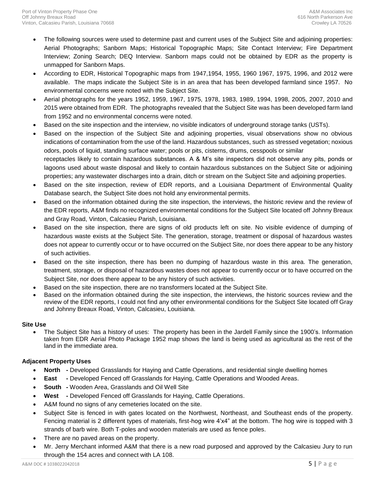- The following sources were used to determine past and current uses of the Subject Site and adjoining properties: Aerial Photographs; Sanborn Maps; Historical Topographic Maps; Site Contact Interview; Fire Department Interview; Zoning Search; DEQ Interview. Sanborn maps could not be obtained by EDR as the property is unmapped for Sanborn Maps.
- According to EDR, Historical Topographic maps from 1947,1954, 1955, 1960 1967, 1975, 1996, and 2012 were available. The maps indicate the Subject Site is in an area that has been developed farmland since 1957. No environmental concerns were noted with the Subject Site.
- Aerial photographs for the years 1952, 1959, 1967, 1975, 1978, 1983, 1989, 1994, 1998, 2005, 2007, 2010 and 2015 were obtained from EDR. The photographs revealed that the Subject Site was has been developed farm land from 1952 and no environmental concerns were noted.
- Based on the site inspection and the interview, no visible indicators of underground storage tanks (USTs).
- Based on the inspection of the Subject Site and adjoining properties, visual observations show no obvious indications of contamination from the use of the land. Hazardous substances, such as stressed vegetation; noxious odors, pools of liquid, standing surface water; pools or pits, cisterns, drums, cesspools or similar receptacles likely to contain hazardous substances. A & M's site inspectors did not observe any pits, ponds or lagoons used about waste disposal and likely to contain hazardous substances on the Subject Site or adjoining properties; any wastewater discharges into a drain, ditch or stream on the Subject Site and adjoining properties.
- Based on the site inspection, review of EDR reports, and a Louisiana Department of Environmental Quality Database search, the Subject Site does not hold any environmental permits.
- Based on the information obtained during the site inspection, the interviews, the historic review and the review of the EDR reports, A&M finds no recognized environmental conditions for the Subject Site located off Johnny Breaux and Gray Road, Vinton, Calcasieu Parish, Louisiana.
- Based on the site inspection, there are signs of old products left on site. No visible evidence of dumping of hazardous waste exists at the Subject Site. The generation, storage, treatment or disposal of hazardous wastes does not appear to currently occur or to have occurred on the Subject Site, nor does there appear to be any history of such activities.
- Based on the site inspection, there has been no dumping of hazardous waste in this area. The generation, treatment, storage, or disposal of hazardous wastes does not appear to currently occur or to have occurred on the Subject Site, nor does there appear to be any history of such activities.
- Based on the site inspection, there are no transformers located at the Subject Site.
- Based on the information obtained during the site inspection, the interviews, the historic sources review and the review of the EDR reports, I could not find any other environmental conditions for the Subject Site located off Gray and Johnny Breaux Road, Vinton, Calcasieu, Louisiana.

## **Site Use**

• The Subject Site has a history of uses: The property has been in the Jardell Family since the 1900's. Information taken from EDR Aerial Photo Package 1952 map shows the land is being used as agricultural as the rest of the land in the immediate area.

## **Adjacent Property Uses**

- **North -** Developed Grasslands for Haying and Cattle Operations, and residential single dwelling homes
- **East -** Developed Fenced off Grasslands for Haying, Cattle Operations and Wooded Areas.
- **South -** Wooden Area, Grasslands and Oil Well Site
- **West -** Developed Fenced off Grasslands for Haying, Cattle Operations.
- A&M found no signs of any cemeteries located on the site.
- Subject Site is fenced in with gates located on the Northwest, Northeast, and Southeast ends of the property. Fencing material is 2 different types of materials, first-hog wire 4'x4" at the bottom. The hog wire is topped with 3 strands of barb wire. Both T-poles and wooden materials are used as fence poles.
- There are no paved areas on the property.
- Mr. Jerry Merchant informed A&M that there is a new road purposed and approved by the Calcasieu Jury to run through the 154 acres and connect with LA 108.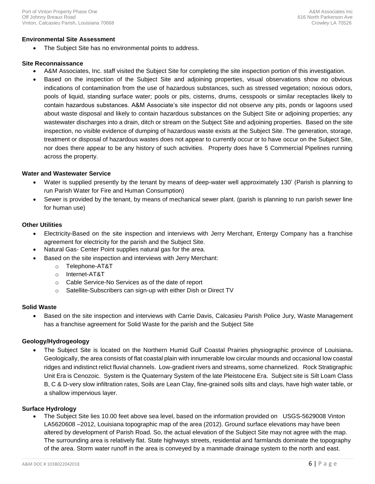#### **Environmental Site Assessment**

• The Subject Site has no environmental points to address.

## **Site Reconnaissance**

- A&M Associates, Inc. staff visited the Subject Site for completing the site inspection portion of this investigation.
- Based on the inspection of the Subject Site and adjoining properties, visual observations show no obvious indications of contamination from the use of hazardous substances, such as stressed vegetation; noxious odors, pools of liquid, standing surface water; pools or pits, cisterns, drums, cesspools or similar receptacles likely to contain hazardous substances. A&M Associate's site inspector did not observe any pits, ponds or lagoons used about waste disposal and likely to contain hazardous substances on the Subject Site or adjoining properties; any wastewater discharges into a drain, ditch or stream on the Subject Site and adjoining properties. Based on the site inspection, no visible evidence of dumping of hazardous waste exists at the Subject Site. The generation, storage, treatment or disposal of hazardous wastes does not appear to currently occur or to have occur on the Subject Site, nor does there appear to be any history of such activities. Property does have 5 Commercial Pipelines running across the property.

## **Water and Wastewater Service**

- Water is supplied presently by the tenant by means of deep-water well approximately 130' (Parish is planning to run Parish Water for Fire and Human Consumption)
- Sewer is provided by the tenant, by means of mechanical sewer plant. (parish is planning to run parish sewer line for human use)

## **Other Utilities**

- Electricity-Based on the site inspection and interviews with Jerry Merchant, Entergy Company has a franchise agreement for electricity for the parish and the Subject Site.
- Natural Gas- Center Point supplies natural gas for the area.
- Based on the site inspection and interviews with Jerry Merchant:
	- o Telephone-AT&T
	- o Internet-AT&T
	- o Cable Service-No Services as of the date of report
	- o Satellite-Subscribers can sign-up with either Dish or Direct TV

## **Solid Waste**

• Based on the site inspection and interviews with Carrie Davis, Calcasieu Parish Police Jury, Waste Management has a franchise agreement for Solid Waste for the parish and the Subject Site

## **Geology/Hydrogeology**

• The Subject Site is located on the Northern Humid Gulf Coastal Prairies physiographic province of Louisiana**.**  Geologically, the area consists of flat coastal plain with innumerable low circular mounds and occasional low coastal ridges and indistinct relict fluvial channels. Low-gradient rivers and streams, some channelized. Rock Stratigraphic Unit Era is Cenozoic. System is the Quaternary System of the late Pleistocene Era. Subject site is Silt Loam Class B, C & D-very slow infiltration rates, Soils are Lean Clay, fine-grained soils silts and clays, have high water table, or a shallow impervious layer.

#### **Surface Hydrology**

• The Subject Site lies 10.00 feet above sea level, based on the information provided on USGS-5629008 Vinton LA5620608 –2012, Louisiana topographic map of the area (2012). Ground surface elevations may have been altered by development of Parish Road. So, the actual elevation of the Subject Site may not agree with the map. The surrounding area is relatively flat. State highways streets, residential and farmlands dominate the topography of the area. Storm water runoff in the area is conveyed by a manmade drainage system to the north and east.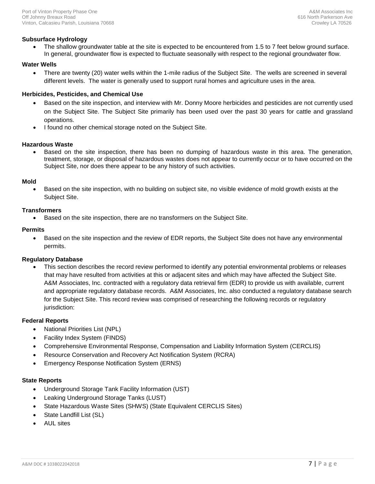## **Subsurface Hydrology**

The shallow groundwater table at the site is expected to be encountered from 1.5 to 7 feet below ground surface. In general, groundwater flow is expected to fluctuate seasonally with respect to the regional groundwater flow.

## **Water Wells**

• There are twenty (20) water wells within the 1-mile radius of the Subject Site. The wells are screened in several different levels. The water is generally used to support rural homes and agriculture uses in the area.

## **Herbicides, Pesticides, and Chemical Use**

- Based on the site inspection, and interview with Mr. Donny Moore herbicides and pesticides are not currently used on the Subject Site. The Subject Site primarily has been used over the past 30 years for cattle and grassland operations.
- I found no other chemical storage noted on the Subject Site.

#### **Hazardous Waste**

• Based on the site inspection, there has been no dumping of hazardous waste in this area. The generation, treatment, storage, or disposal of hazardous wastes does not appear to currently occur or to have occurred on the Subject Site, nor does there appear to be any history of such activities.

#### **Mold**

• Based on the site inspection, with no building on subject site, no visible evidence of mold growth exists at the Subject Site.

#### **Transformers**

• Based on the site inspection, there are no transformers on the Subject Site.

#### **Permits**

• Based on the site inspection and the review of EDR reports, the Subject Site does not have any environmental permits.

#### **Regulatory Database**

• This section describes the record review performed to identify any potential environmental problems or releases that may have resulted from activities at this or adjacent sites and which may have affected the Subject Site. A&M Associates, Inc. contracted with a regulatory data retrieval firm (EDR) to provide us with available, current and appropriate regulatory database records. A&M Associates, Inc. also conducted a regulatory database search for the Subject Site. This record review was comprised of researching the following records or regulatory jurisdiction:

#### **Federal Reports**

- National Priorities List (NPL)
- Facility Index System (FINDS)
- Comprehensive Environmental Response, Compensation and Liability Information System (CERCLIS)
- Resource Conservation and Recovery Act Notification System (RCRA)
- Emergency Response Notification System (ERNS)

#### **State Reports**

- Underground Storage Tank Facility Information (UST)
- Leaking Underground Storage Tanks (LUST)
- State Hazardous Waste Sites (SHWS) (State Equivalent CERCLIS Sites)
- State Landfill List (SL)
- AUL sites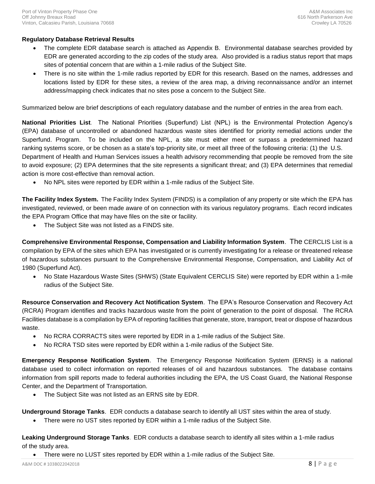## **Regulatory Database Retrieval Results**

- The complete EDR database search is attached as Appendix B. Environmental database searches provided by EDR are generated according to the zip codes of the study area. Also provided is a radius status report that maps sites of potential concern that are within a 1-mile radius of the Subject Site.
- There is no site within the 1-mile radius reported by EDR for this research. Based on the names, addresses and locations listed by EDR for these sites, a review of the area map, a driving reconnaissance and/or an internet address/mapping check indicates that no sites pose a concern to the Subject Site.

Summarized below are brief descriptions of each regulatory database and the number of entries in the area from each.

**National Priorities List**. The National Priorities (Superfund) List (NPL) is the Environmental Protection Agency's (EPA) database of uncontrolled or abandoned hazardous waste sites identified for priority remedial actions under the Superfund. Program. To be included on the NPL, a site must either meet or surpass a predetermined hazard ranking systems score, or be chosen as a state's top-priority site, or meet all three of the following criteria: (1) the U.S. Department of Health and Human Services issues a health advisory recommending that people be removed from the site to avoid exposure; (2) EPA determines that the site represents a significant threat; and (3) EPA determines that remedial action is more cost-effective than removal action.

• No NPL sites were reported by EDR within a 1-mile radius of the Subject Site.

**The Facility Index System.** The Facility Index System (FINDS) is a compilation of any property or site which the EPA has investigated, reviewed, or been made aware of on connection with its various regulatory programs. Each record indicates the EPA Program Office that may have files on the site or facility.

The Subject Site was not listed as a FINDS site.

**Comprehensive Environmental Response, Compensation and Liability Information System**. The CERCLIS List is a compilation by EPA of the sites which EPA has investigated or is currently investigating for a release or threatened release of hazardous substances pursuant to the Comprehensive Environmental Response, Compensation, and Liability Act of 1980 (Superfund Act).

• No State Hazardous Waste Sites (SHWS) (State Equivalent CERCLIS Site) were reported by EDR within a 1-mile radius of the Subject Site.

**Resource Conservation and Recovery Act Notification System**. The EPA's Resource Conservation and Recovery Act (RCRA) Program identifies and tracks hazardous waste from the point of generation to the point of disposal. The RCRA Facilities database is a compilation by EPA of reporting facilities that generate, store, transport, treat or dispose of hazardous waste.

- No RCRA CORRACTS sites were reported by EDR in a 1-mile radius of the Subject Site.
- No RCRA TSD sites were reported by EDR within a 1-mile radius of the Subject Site.

**Emergency Response Notification System**. The Emergency Response Notification System (ERNS) is a national database used to collect information on reported releases of oil and hazardous substances. The database contains information from spill reports made to federal authorities including the EPA, the US Coast Guard, the National Response Center, and the Department of Transportation.

• The Subject Site was not listed as an ERNS site by EDR.

**Underground Storage Tanks**. EDR conducts a database search to identify all UST sites within the area of study.

• There were no UST sites reported by EDR within a 1-mile radius of the Subject Site.

**Leaking Underground Storage Tanks**. EDR conducts a database search to identify all sites within a 1-mile radius of the study area.

• There were no LUST sites reported by EDR within a 1-mile radius of the Subject Site.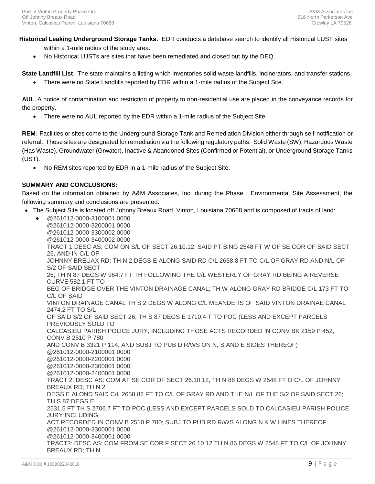**Historical Leaking Underground Storage Tanks**. EDR conducts a database search to identify all Historical LUST sites within a 1-mile radius of the study area.

• No Historical LUSTs are sites that have been remediated and closed out by the DEQ.

**State Landfill List**. The state maintains a listing which inventories solid waste landfills, incinerators, and transfer stations.

• There were no State Landfills reported by EDR within a 1-mile radius of the Subject Site.

**AUL.** A notice of contamination and restriction of property to non-residential use are placed in the conveyance records for the property.

• There were no AUL reported by the EDR within a 1-mile radius of the Subject Site.

**REM**: Facilities or sites come to the Underground Storage Tank and Remediation Division either through self-notification or referral. These sites are designated for remediation via the following regulatory paths: Solid Waste (SW), Hazardous Waste (Has Waste), Groundwater (Grwater), Inactive & Abandoned Sites (Confirmed or Potential), or Underground Storage Tanks (UST).

• No REM sites reported by EDR in a 1-mile radius of the Subject Site.

## **SUMMARY AND CONCLUSIONS:**

Based on the information obtained by A&M Associates, Inc. during the Phase I Environmental Site Assessment, the following summary and conclusions are presented:

- The Subject Site is located off Johnny Breaux Road, Vinton, Louisiana 70668 and is composed of tracts of land:
	- @261012-0000-3100001 0000 @261012-0000-3200001 0000 @261012-0000-3300002 0000 @261012-0000-3400002 0000 TRACT 1 DESC AS: COM ON S/L OF SECT 26.10.12; SAID PT BING 2548 FT W OF SE COR OF SAID SECT 26, AND IN C/L OF JOHNNY BREUAX RD; TH N 2 DEGS E ALONG SAID RD C/L 2658.8 FT TO C/L OF GRAY RD AND N/L OF S/2 OF SAID SECT 26; TH N 87 DEGS W 964.7 FT TH FOLLOWING THE C/L WESTERLY OF GRAY RD BEING A REVERSE CURVE 582.1 FT TO BEG OF BRIDGE OVER THE VINTON DRAINAGE CANAL; TH W ALONG GRAY RD BRIDGE C/L 173 FT TO C/L OF SAID VINTON DRAINAGE CANAL TH S 2 DEGS W ALONG C/L MEANDERS OF SAID VINTON DRAINAE CANAL 2474.2 FT TO S/L OF SAID S/2 OF SAID SECT 26; TH S 87 DEGS E 1710.4 T TO POC (LESS AND EXCEPT PARCELS PREVIOUSLY SOLD TO CALCASIEU PARISH POLICE JURY, INCLUDING THOSE ACTS RECORDED IN CONV BK 2159 P 452, CONV B 2510 P 780 AND CONV B 3321 P 114; AND SUBJ TO PUB D R/WS ON N, S AND E SIDES THEREOF) @261012-0000-2100001 0000 @261012-0000-2200001 0000 @261012-0000-2300001 0000 @261012-0000-2400001 0000 TRACT 2: DESC AS: COM AT SE COR OF SECT 26.10.12, TH N 86 DEGS W 2548 FT O C/L OF JOHNNY BREAUX RD; TH N 2 DEGS E ALOND SAID C/L 2658.82 FT TO C/L OF GRAY RD AND THE N/L OF THE S/2 OF SAID SECT 26; TH S 87 DEGS E 2531.5 FT TH S 2706.7 FT TO POC (LESS AND EXCEPT PARCELS SOLD TO CALCASIEU PARISH POLICE JURY INCLUDING ACT RECORDED IN CONV B 2510 P 780; SUBJ TO PUB RD R/WS ALONG N & W LINES THEREOF @261012-0000-3300001 0000 @261012-0000-3400001 0000 TRACT3: DESC AS: COM FROM SE COR F SECT 26.10.12 TH N 86 DEGS W 2548 FT TO C/L OF JOHNNY BREAUX RD; TH N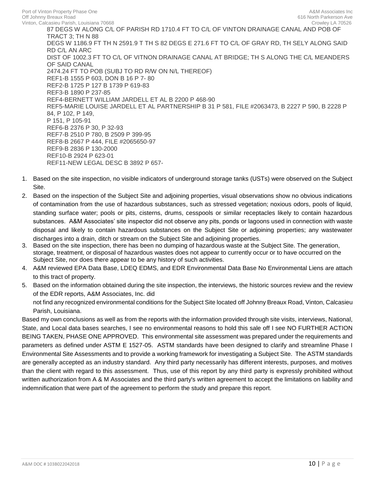87 DEGS W ALONG C/L OF PARISH RD 1710.4 FT TO C/L OF VINTON DRAINAGE CANAL AND POB OF TRACT 3; TH N 88 DEGS W 1186.9 FT TH N 2591.9 T TH S 82 DEGS E 271.6 FT TO C/L OF GRAY RD, TH SELY ALONG SAID RD C/L AN ARC DIST OF 1002.3 FT TO C/L OF VITNON DRAINAGE CANAL AT BRIDGE; TH S ALONG THE C/L MEANDERS OF SAID CANAL 2474.24 FT TO POB (SUBJ TO RD R/W ON N/L THEREOF) REF1-B 1555 P 603, DON B 16 P 7- 80 REF2-B 1725 P 127 B 1739 P 619-83 REF3-B 1890 P 237-85 REF4-BERNETT WILLIAM JARDELL ET AL B 2200 P 468-90 REF5-MARIE LOUISE JARDELL ET AL PARTNERSHIP B 31 P 581, FILE #2063473, B 2227 P 590, B 2228 P 84, P 102, P 149, P 151, P 105-91 REF6-B 2376 P 30, P 32-93 REF7-B 2510 P 780, B 2509 P 399-95 REF8-B 2667 P 444, FILE #2065650-97 REF9-B 2836 P 130-2000 REF10-B 2924 P 623-01 REF11-NEW LEGAL DESC B 3892 P 657-

- 1. Based on the site inspection, no visible indicators of underground storage tanks (USTs) were observed on the Subject Site.
- 2. Based on the inspection of the Subject Site and adjoining properties, visual observations show no obvious indications of contamination from the use of hazardous substances, such as stressed vegetation; noxious odors, pools of liquid, standing surface water; pools or pits, cisterns, drums, cesspools or similar receptacles likely to contain hazardous substances. A&M Associates' site inspector did not observe any pits, ponds or lagoons used in connection with waste disposal and likely to contain hazardous substances on the Subject Site or adjoining properties; any wastewater discharges into a drain, ditch or stream on the Subject Site and adjoining properties.
- 3. Based on the site inspection, there has been no dumping of hazardous waste at the Subject Site. The generation, storage, treatment, or disposal of hazardous wastes does not appear to currently occur or to have occurred on the Subject Site, nor does there appear to be any history of such activities.
- 4. A&M reviewed EPA Data Base, LDEQ EDMS, and EDR Environmental Data Base No Environmental Liens are attach to this tract of property.
- 5. Based on the information obtained during the site inspection, the interviews, the historic sources review and the review of the EDR reports, A&M Associates, Inc. did not find any recognized environmental conditions for the Subject Site located off Johnny Breaux Road, Vinton, Calcasieu Parish, Louisiana.

Based my own conclusions as well as from the reports with the information provided through site visits, interviews, National, State, and Local data bases searches, I see no environmental reasons to hold this sale off I see NO FURTHER ACTION BEING TAKEN, PHASE ONE APPROVED. This environmental site assessment was prepared under the requirements and parameters as defined under ASTM E 1527-05. ASTM standards have been designed to clarify and streamline Phase I Environmental Site Assessments and to provide a working framework for investigating a Subject Site. The ASTM standards are generally accepted as an industry standard. Any third party necessarily has different interests, purposes, and motives than the client with regard to this assessment. Thus, use of this report by any third party is expressly prohibited without written authorization from A & M Associates and the third party's written agreement to accept the limitations on liability and indemnification that were part of the agreement to perform the study and prepare this report.